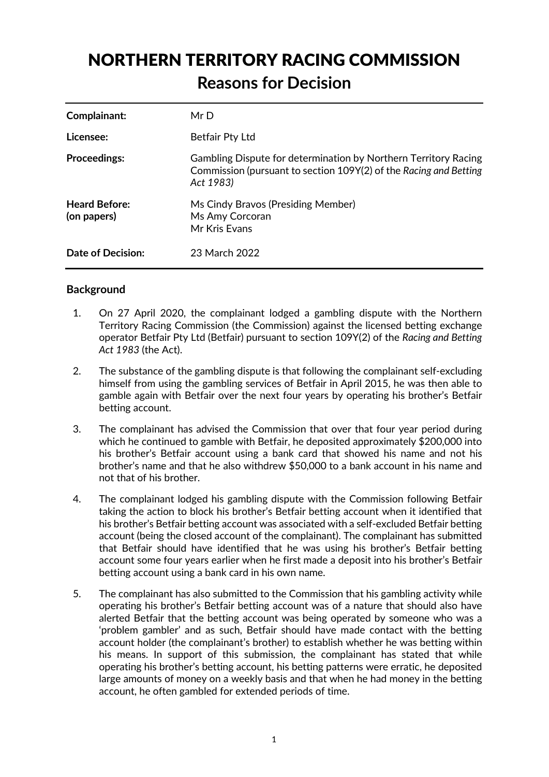# NORTHERN TERRITORY RACING COMMISSION **Reasons for Decision**

| Complainant:                        | MrD                                                                                                                                               |
|-------------------------------------|---------------------------------------------------------------------------------------------------------------------------------------------------|
| Licensee:                           | Betfair Pty Ltd                                                                                                                                   |
| <b>Proceedings:</b>                 | Gambling Dispute for determination by Northern Territory Racing<br>Commission (pursuant to section 109Y(2) of the Racing and Betting<br>Act 1983) |
| <b>Heard Before:</b><br>(on papers) | Ms Cindy Bravos (Presiding Member)<br>Ms Amy Corcoran<br>Mr Kris Evans                                                                            |
| Date of Decision:                   | 23 March 2022                                                                                                                                     |

# **Background**

- 1. On 27 April 2020, the complainant lodged a gambling dispute with the Northern Territory Racing Commission (the Commission) against the licensed betting exchange operator Betfair Pty Ltd (Betfair) pursuant to section 109Y(2) of the *Racing and Betting Act 1983* (the Act).
- 2. The substance of the gambling dispute is that following the complainant self-excluding himself from using the gambling services of Betfair in April 2015, he was then able to gamble again with Betfair over the next four years by operating his brother's Betfair betting account.
- 3. The complainant has advised the Commission that over that four year period during which he continued to gamble with Betfair, he deposited approximately \$200,000 into his brother's Betfair account using a bank card that showed his name and not his brother's name and that he also withdrew \$50,000 to a bank account in his name and not that of his brother.
- 4. The complainant lodged his gambling dispute with the Commission following Betfair taking the action to block his brother's Betfair betting account when it identified that his brother's Betfair betting account was associated with a self-excluded Betfair betting account (being the closed account of the complainant). The complainant has submitted that Betfair should have identified that he was using his brother's Betfair betting account some four years earlier when he first made a deposit into his brother's Betfair betting account using a bank card in his own name.
- 5. The complainant has also submitted to the Commission that his gambling activity while operating his brother's Betfair betting account was of a nature that should also have alerted Betfair that the betting account was being operated by someone who was a 'problem gambler' and as such, Betfair should have made contact with the betting account holder (the complainant's brother) to establish whether he was betting within his means. In support of this submission, the complainant has stated that while operating his brother's betting account, his betting patterns were erratic, he deposited large amounts of money on a weekly basis and that when he had money in the betting account, he often gambled for extended periods of time.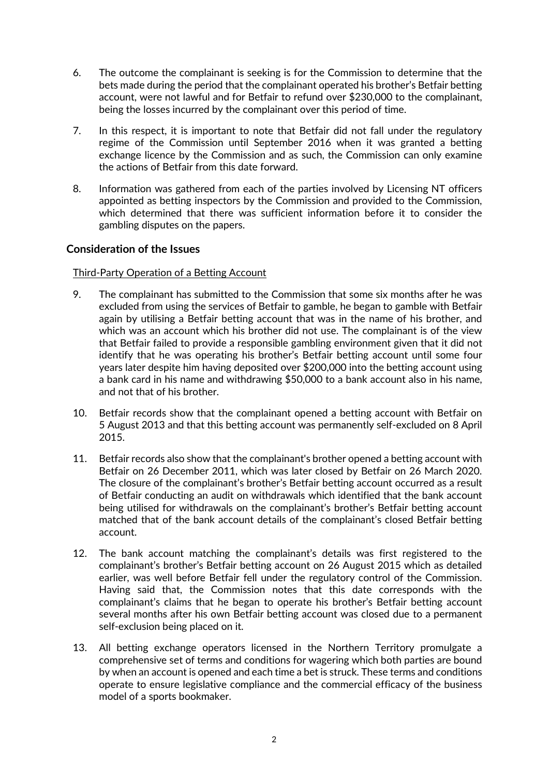- 6. The outcome the complainant is seeking is for the Commission to determine that the bets made during the period that the complainant operated his brother's Betfair betting account, were not lawful and for Betfair to refund over \$230,000 to the complainant, being the losses incurred by the complainant over this period of time.
- 7. In this respect, it is important to note that Betfair did not fall under the regulatory regime of the Commission until September 2016 when it was granted a betting exchange licence by the Commission and as such, the Commission can only examine the actions of Betfair from this date forward.
- 8. Information was gathered from each of the parties involved by Licensing NT officers appointed as betting inspectors by the Commission and provided to the Commission, which determined that there was sufficient information before it to consider the gambling disputes on the papers.

## **Consideration of the Issues**

## Third-Party Operation of a Betting Account

- 9. The complainant has submitted to the Commission that some six months after he was excluded from using the services of Betfair to gamble, he began to gamble with Betfair again by utilising a Betfair betting account that was in the name of his brother, and which was an account which his brother did not use. The complainant is of the view that Betfair failed to provide a responsible gambling environment given that it did not identify that he was operating his brother's Betfair betting account until some four years later despite him having deposited over \$200,000 into the betting account using a bank card in his name and withdrawing \$50,000 to a bank account also in his name, and not that of his brother.
- 10. Betfair records show that the complainant opened a betting account with Betfair on 5 August 2013 and that this betting account was permanently self-excluded on 8 April 2015.
- 11. Betfair records also show that the complainant's brother opened a betting account with Betfair on 26 December 2011, which was later closed by Betfair on 26 March 2020. The closure of the complainant's brother's Betfair betting account occurred as a result of Betfair conducting an audit on withdrawals which identified that the bank account being utilised for withdrawals on the complainant's brother's Betfair betting account matched that of the bank account details of the complainant's closed Betfair betting account.
- 12. The bank account matching the complainant's details was first registered to the complainant's brother's Betfair betting account on 26 August 2015 which as detailed earlier, was well before Betfair fell under the regulatory control of the Commission. Having said that, the Commission notes that this date corresponds with the complainant's claims that he began to operate his brother's Betfair betting account several months after his own Betfair betting account was closed due to a permanent self-exclusion being placed on it.
- 13. All betting exchange operators licensed in the Northern Territory promulgate a comprehensive set of terms and conditions for wagering which both parties are bound by when an account is opened and each time a bet is struck. These terms and conditions operate to ensure legislative compliance and the commercial efficacy of the business model of a sports bookmaker.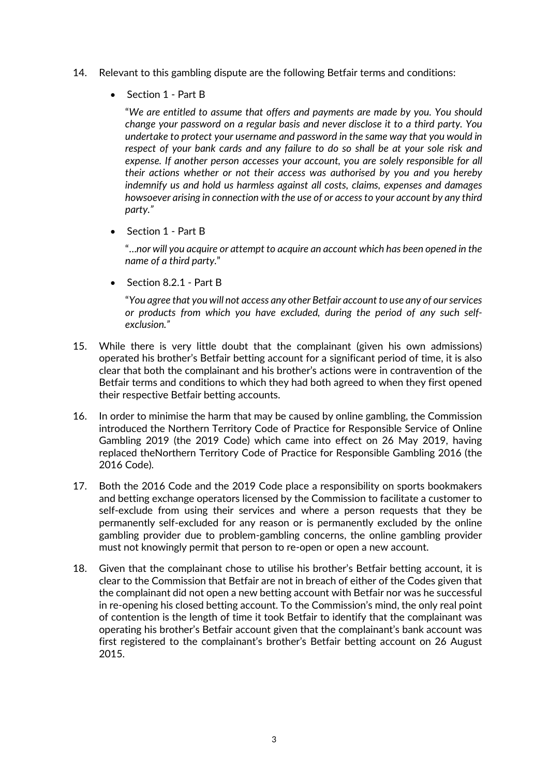- 14. Relevant to this gambling dispute are the following Betfair terms and conditions:
	- Section 1 Part B

"*We are entitled to assume that offers and payments are made by you. You should change your password on a regular basis and never disclose it to a third party. You undertake to protect your username and password in the same way that you would in respect of your bank cards and any failure to do so shall be at your sole risk and expense. If another person accesses your account, you are solely responsible for all their actions whether or not their access was authorised by you and you hereby indemnify us and hold us harmless against all costs, claims, expenses and damages howsoever arising in connection with the use of or access to your account by any third party."*

Section 1 - Part B

 "…*nor will you acquire or attempt to acquire an account which has been opened in the name of a third party.*"

Section 8.2.1 - Part B

"*You agree that you will not access any other Betfair account to use any of our services or products from which you have excluded, during the period of any such selfexclusion."* 

- 15. While there is very little doubt that the complainant (given his own admissions) operated his brother's Betfair betting account for a significant period of time, it is also clear that both the complainant and his brother's actions were in contravention of the Betfair terms and conditions to which they had both agreed to when they first opened their respective Betfair betting accounts.
- 16. In order to minimise the harm that may be caused by online gambling, the Commission introduced the Northern Territory Code of Practice for Responsible Service of Online Gambling 2019 (the 2019 Code) which came into effect on 26 May 2019, having replaced theNorthern Territory Code of Practice for Responsible Gambling 2016 (the 2016 Code).
- 17. Both the 2016 Code and the 2019 Code place a responsibility on sports bookmakers and betting exchange operators licensed by the Commission to facilitate a customer to self-exclude from using their services and where a person requests that they be permanently self-excluded for any reason or is permanently excluded by the online gambling provider due to problem-gambling concerns, the online gambling provider must not knowingly permit that person to re-open or open a new account.
- 18. Given that the complainant chose to utilise his brother's Betfair betting account, it is clear to the Commission that Betfair are not in breach of either of the Codes given that the complainant did not open a new betting account with Betfair nor was he successful in re-opening his closed betting account. To the Commission's mind, the only real point of contention is the length of time it took Betfair to identify that the complainant was operating his brother's Betfair account given that the complainant's bank account was first registered to the complainant's brother's Betfair betting account on 26 August 2015.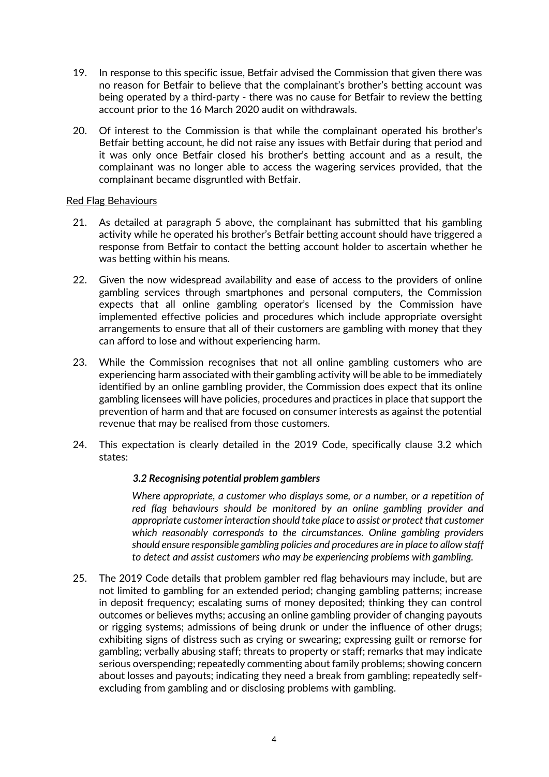- 19. In response to this specific issue, Betfair advised the Commission that given there was no reason for Betfair to believe that the complainant's brother's betting account was being operated by a third-party - there was no cause for Betfair to review the betting account prior to the 16 March 2020 audit on withdrawals.
- 20. Of interest to the Commission is that while the complainant operated his brother's Betfair betting account, he did not raise any issues with Betfair during that period and it was only once Betfair closed his brother's betting account and as a result, the complainant was no longer able to access the wagering services provided, that the complainant became disgruntled with Betfair.

#### Red Flag Behaviours

- 21. As detailed at paragraph 5 above, the complainant has submitted that his gambling activity while he operated his brother's Betfair betting account should have triggered a response from Betfair to contact the betting account holder to ascertain whether he was betting within his means.
- 22. Given the now widespread availability and ease of access to the providers of online gambling services through smartphones and personal computers, the Commission expects that all online gambling operator's licensed by the Commission have implemented effective policies and procedures which include appropriate oversight arrangements to ensure that all of their customers are gambling with money that they can afford to lose and without experiencing harm.
- 23. While the Commission recognises that not all online gambling customers who are experiencing harm associated with their gambling activity will be able to be immediately identified by an online gambling provider, the Commission does expect that its online gambling licensees will have policies, procedures and practices in place that support the prevention of harm and that are focused on consumer interests as against the potential revenue that may be realised from those customers.
- 24. This expectation is clearly detailed in the 2019 Code, specifically clause 3.2 which states:

## *3.2 Recognising potential problem gamblers*

*Where appropriate, a customer who displays some, or a number, or a repetition of red flag behaviours should be monitored by an online gambling provider and appropriate customer interaction should take place to assist or protect that customer which reasonably corresponds to the circumstances. Online gambling providers should ensure responsible gambling policies and procedures are in place to allow staff to detect and assist customers who may be experiencing problems with gambling.* 

25. The 2019 Code details that problem gambler red flag behaviours may include, but are not limited to gambling for an extended period; changing gambling patterns; increase in deposit frequency; escalating sums of money deposited; thinking they can control outcomes or believes myths; accusing an online gambling provider of changing payouts or rigging systems; admissions of being drunk or under the influence of other drugs; exhibiting signs of distress such as crying or swearing; expressing guilt or remorse for gambling; verbally abusing staff; threats to property or staff; remarks that may indicate serious overspending; repeatedly commenting about family problems; showing concern about losses and payouts; indicating they need a break from gambling; repeatedly selfexcluding from gambling and or disclosing problems with gambling.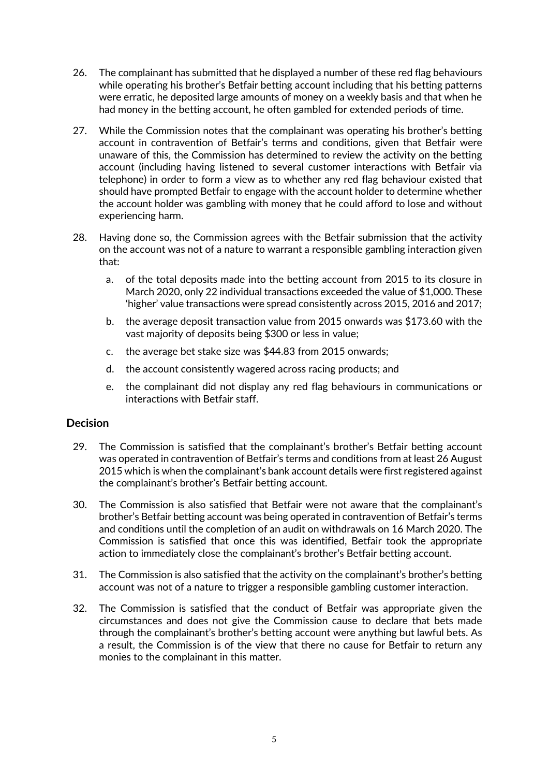- 26. The complainant has submitted that he displayed a number of these red flag behaviours while operating his brother's Betfair betting account including that his betting patterns were erratic, he deposited large amounts of money on a weekly basis and that when he had money in the betting account, he often gambled for extended periods of time.
- 27. While the Commission notes that the complainant was operating his brother's betting account in contravention of Betfair's terms and conditions, given that Betfair were unaware of this, the Commission has determined to review the activity on the betting account (including having listened to several customer interactions with Betfair via telephone) in order to form a view as to whether any red flag behaviour existed that should have prompted Betfair to engage with the account holder to determine whether the account holder was gambling with money that he could afford to lose and without experiencing harm.
- 28. Having done so, the Commission agrees with the Betfair submission that the activity on the account was not of a nature to warrant a responsible gambling interaction given that:
	- a. of the total deposits made into the betting account from 2015 to its closure in March 2020, only 22 individual transactions exceeded the value of \$1,000. These 'higher' value transactions were spread consistently across 2015, 2016 and 2017;
	- b. the average deposit transaction value from 2015 onwards was \$173.60 with the vast majority of deposits being \$300 or less in value;
	- c. the average bet stake size was \$44.83 from 2015 onwards;
	- d. the account consistently wagered across racing products; and
	- e. the complainant did not display any red flag behaviours in communications or interactions with Betfair staff.

## **Decision**

- 29. The Commission is satisfied that the complainant's brother's Betfair betting account was operated in contravention of Betfair's terms and conditions from at least 26 August 2015 which is when the complainant's bank account details were first registered against the complainant's brother's Betfair betting account.
- 30. The Commission is also satisfied that Betfair were not aware that the complainant's brother's Betfair betting account was being operated in contravention of Betfair's terms and conditions until the completion of an audit on withdrawals on 16 March 2020. The Commission is satisfied that once this was identified, Betfair took the appropriate action to immediately close the complainant's brother's Betfair betting account.
- 31. The Commission is also satisfied that the activity on the complainant's brother's betting account was not of a nature to trigger a responsible gambling customer interaction.
- 32. The Commission is satisfied that the conduct of Betfair was appropriate given the circumstances and does not give the Commission cause to declare that bets made through the complainant's brother's betting account were anything but lawful bets. As a result, the Commission is of the view that there no cause for Betfair to return any monies to the complainant in this matter.